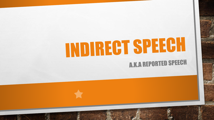# INDIRECT SPEECH **A.K.A REPORTED SPEECH**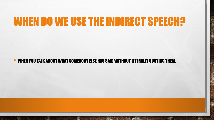### WHEN DO WE USE THE INDIRECT SPEECH?

• WHEN YOU TALK ABOUT WHAT SOMEBODY ELSE HAS SAID WITHOUT LITERALLY QUOTING THEM.

郷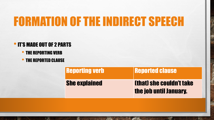### FORMATION OF THE INDIRECT SPEECH

#### •IT'S MADE OUT OF 2 PARTS

- THE REPORTING VERB
- THE REPORTED CLAUSE

 $\mathbb{A}$ 

**无** 

**AUSSEN AND ACTIONS** 

 $\mathcal{L}^{\mathcal{U}}$ 

| <b>Reporting verb</b> | <b>Reported clause</b>                                    |
|-----------------------|-----------------------------------------------------------|
| <b>She explained</b>  | <b>(that) she couldn't take</b><br>the job until January. |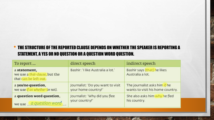#### • THE STRUCTURE OF THE REPORTED CLAUSE DEPENDS ON WHETHER THE SPEAKER IS REPORTING A STATEMENT, A YES OR NO QUESTION OR A QUESTION WORD QUESTION.

| To report                                                              | direct speech                     | indirect speech                                 |
|------------------------------------------------------------------------|-----------------------------------|-------------------------------------------------|
| a statement,<br>we use a that-clause, but the<br>that can be left out. | Bashir: 'I like Australia a lot.' | Bashir says (that) he likes<br>Australia a lot. |
| a yes/no question,                                                     | Journalist: 'Do you want to visit | The journalist asks him if he                   |
| we use if or whether (or not).                                         | your home country?'               | wants to visit his home country.                |
| a question word question,                                              | Journalist: 'Why did you flee     | She also asks him why he fled                   |
| we use a question word                                                 | your country?'                    | his country.                                    |

**WATER** 

**No.** 

 $\mathbb{A}$ 

 $\frac{1}{2}$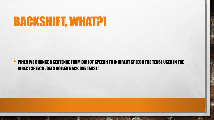### BACKSHIFT, WHAT?!

 $\mathbb{A}$ 

 $\frac{1}{2}$ 

郷

#### • WHEN WE CHANGE A SENTENCE FROM DIRECT SPEECH TO INDIRECT SPEECH THE TENSE USED IN THE DIRECT SPEECH , GETS ROLLED BACK ONE TENSE!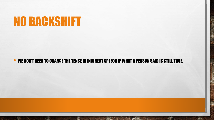### NO BACKSHIFT

 $\mathbb{A}$ 

 $\frac{1}{2}$ 

#### WE DON'T NEED TO CHANGE THE TENSE IN INDIRECT SPEECH IF WHAT A PERSON SAID IS STILL TRUE.

 $\mathcal{R}$ 

₩.

**光**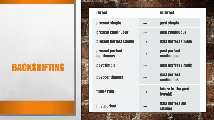### BACKSHIFTING

| direct                               |                   | <b>indirect</b>                   |
|--------------------------------------|-------------------|-----------------------------------|
| present simple                       | $\longrightarrow$ | past simple                       |
| <b>present continuous</b>            | $\longrightarrow$ | past continuous                   |
| present perfect simple               |                   | past perfect simple               |
| present perfect<br><b>CONTINUOUS</b> |                   | past perfect<br><b>Continuous</b> |
| past simple                          |                   | past perfect simple               |
| past continuous                      |                   | past perfect<br><b>CONTINUOUS</b> |
| future (will)                        |                   | future-in-the-past<br>(would)     |
| past perfect                         | $\leftrightarrow$ | past perfect (no<br>change)       |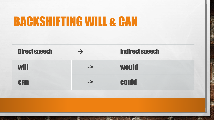### **BACKSHIFTING WILL & CAN**

蠹

 $\mathbb{A}$ 



**A STATE OF A STATE OF A STATE**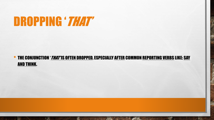### DROPPING 'THAT'

 $\mathbb{A}$ 

湯

**ALCOHOL: AND AREA** 

 $\mathbb{R}^n$ 

#### THE CONJUNCTION '*THAT'* IS OFTEN DROPPED, ESPECIALLY AFTER COMMON REPORTING VERBS LIKE: SAY AND THINK.

 $\mathcal{L}$ 

**WATER**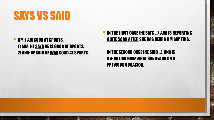### SAYS VS SAID

• JIM: I AM GOOD AT SPORTS. 1) ANA: HE SAYS HE IS GOOD AT SPORTS. 2) ANA: HE SAID HE WAS GOOD AT SPORTS.

 $\mathbb{A}$ 

雾

 $\mathcal{L}_{\mathcal{L}}$ 

• IN THE FIRST CASE (HE SAYS ...), ANA IS REPORTING QUITE SOON AFTER SHE HAS HEARD JIM SAY THIS.

IN THE SECOND CASE (HE SAID ...), ANA IS **REPORTING NOW WHAT SHE HEARD ON A** PREVIOUS OCCASION.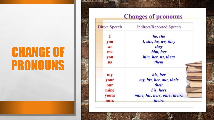## CHANGE OF PRONOUNS

| Direct Speech | <b>Indirect/Reported Speech</b> |  |
|---------------|---------------------------------|--|
|               | he, she                         |  |
| you           | I, she, he, we, they            |  |
| we            | they                            |  |
| me            | him, her                        |  |
| you           | him, her, us, them              |  |
| us            | them                            |  |
| my            | his, her                        |  |
| your          | my, his, her, our, their        |  |
| our           | their                           |  |
| mine          | his, hers                       |  |
| yours         | mine, his, hers, ours, theirs   |  |
| ours          | theirs                          |  |